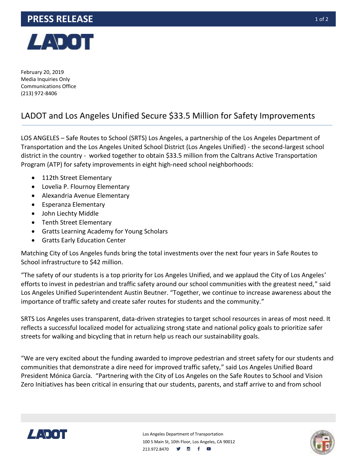## **PRESS RELEASE 10f2**



February 20, 2019 Media Inquiries Only Communications Office (213) 972-8406

## LADOT and Los Angeles Unified Secure \$33.5 Million for Safety Improvements

LOS ANGELES – Safe Routes to School (SRTS) Los Angeles, a partnership of the Los Angeles Department of Transportation and the Los Angeles United School District (Los Angeles Unified) - the second-largest school district in the country - worked together to obtain \$33.5 million from the Caltrans Active Transportation Program (ATP) for safety improvements in eight high-need school neighborhoods:

- 112th Street Elementary
- Lovelia P. Flournoy Elementary
- Alexandria Avenue Elementary
- Esperanza Elementary
- John Liechty Middle
- Tenth Street Elementary
- Gratts Learning Academy for Young Scholars
- Gratts Early Education Center

Matching City of Los Angeles funds bring the total investments over the next four years in Safe Routes to School infrastructure to \$42 million.

"The safety of our students is a top priority for Los Angeles Unified, and we applaud the City of Los Angeles' efforts to invest in pedestrian and traffic safety around our school communities with the greatest need," said Los Angeles Unified Superintendent Austin Beutner. "Together, we continue to increase awareness about the importance of traffic safety and create safer routes for students and the community."

SRTS Los Angeles uses transparent, data-driven strategies to target school resources in areas of most need. It reflects a successful localized model for actualizing strong state and national policy goals to prioritize safer streets for walking and bicycling that in return help us reach our sustainability goals.

"We are very excited about the funding awarded to improve pedestrian and street safety for our students and communities that demonstrate a dire need for improved traffic safety," said Los Angeles Unified Board President Mónica García. "Partnering with the City of Los Angeles on the Safe Routes to School and Vision Zero Initiatives has been critical in ensuring that our students, parents, and staff arrive to and from school



Los Angeles Department of Transportation 100 S Main St, 10th Floor, Los Angeles, CA 90012 213.972.8470 **9 6 f**